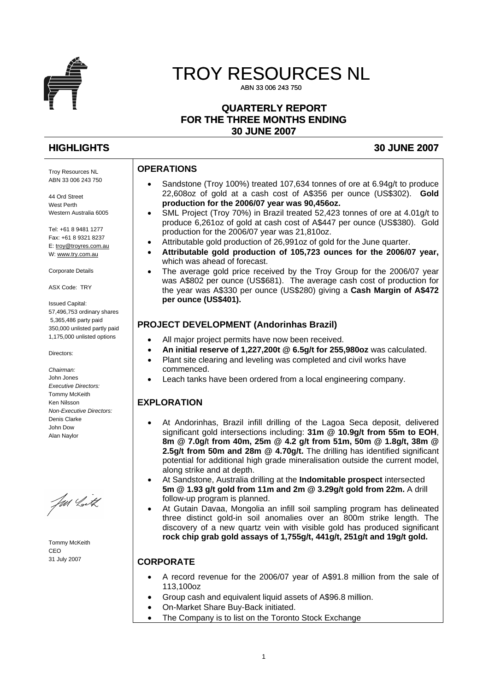

# TROY RESOURCES NL

ABN 33 006 243 750

## **QUARTERLY REPORT FOR THE THREE MONTHS ENDING 30 JUNE 2007**

# **HIGHLIGHTS 30 JUNE 2007**

## **OPERATIONS**

- Sandstone (Troy 100%) treated 107,634 tonnes of ore at 6.94g/t to produce 22,608oz of gold at a cash cost of A\$356 per ounce (US\$302). **Gold production for the 2006/07 year was 90,456oz.**
- SML Project (Troy 70%) in Brazil treated 52,423 tonnes of ore at 4.01g/t to produce 6,261oz of gold at cash cost of A\$447 per ounce (US\$380). Gold production for the 2006/07 year was 21,810oz.
- Attributable gold production of 26,991oz of gold for the June quarter.
- **Attributable gold production of 105,723 ounces for the 2006/07 year,** which was ahead of forecast.
- The average gold price received by the Troy Group for the 2006/07 year was A\$802 per ounce (US\$681). The average cash cost of production for the year was A\$330 per ounce (US\$280) giving a **Cash Margin of A\$472 per ounce (US\$401).**

## **PROJECT DEVELOPMENT (Andorinhas Brazil)**

- All major project permits have now been received.
- **An initial reserve of 1,227,200t @ 6.5g/t for 255,980oz** was calculated.
- Plant site clearing and leveling was completed and civil works have commenced.
- Leach tanks have been ordered from a local engineering company.

# **EXPLORATION**

- At Andorinhas, Brazil infill drilling of the Lagoa Seca deposit, delivered significant gold intersections including: **31m @ 10.9g/t from 55m to EOH**, **8m @ 7.0g/**t **from 40m, 25m @ 4.2 g/t from 51m, 50m @ 1.8g/t, 38m @ 2.5g/t from 50m and 28m @ 4.70g/t.** The drilling has identified significant potential for additional high grade mineralisation outside the current model, along strike and at depth.
- At Sandstone, Australia drilling at the **Indomitable prospect** intersected **5m @ 1.93 g/t gold from 11m and 2m @ 3.29g/t gold from 22m.** A drill follow-up program is planned.
- At Gutain Davaa, Mongolia an infill soil sampling program has delineated three distinct gold-in soil anomalies over an 800m strike length. The discovery of a new quartz vein with visible gold has produced significant **rock chip grab gold assays of 1,755g/t, 441g/t, 251g/t and 19g/t gold.**

# **CORPORATE**

- A record revenue for the 2006/07 year of A\$91.8 million from the sale of 113,100oz
- Group cash and equivalent liquid assets of A\$96.8 million.
- On-Market Share Buy-Back initiated.
- The Company is to list on the Toronto Stock Exchange

Troy Resources NL ABN 33 006 243 750

44 Ord Street West Perth Western Australia 6005

Tel: +61 8 9481 1277 Fax: +61 8 9321 8237 E: [troy@troyres.com.au](mailto:troy@troyres.com.au) W: [www.try.com.au](http://www.try.com.au/)

Corporate Details

ASX Code: TRY

Issued Capital: 57,496,753 ordinary shares 5,365,486 party paid 350,000 unlisted partly paid 1,175,000 unlisted options

Directors:

*Chairman:*  John Jones *Executive Directors:*  Tommy McKeith Ken Nilsson *Non-Executive Directors:*  Denis Clarke John Dow Alan Naylor

Jan Lith

Tommy McKeith CEO 31 July 2007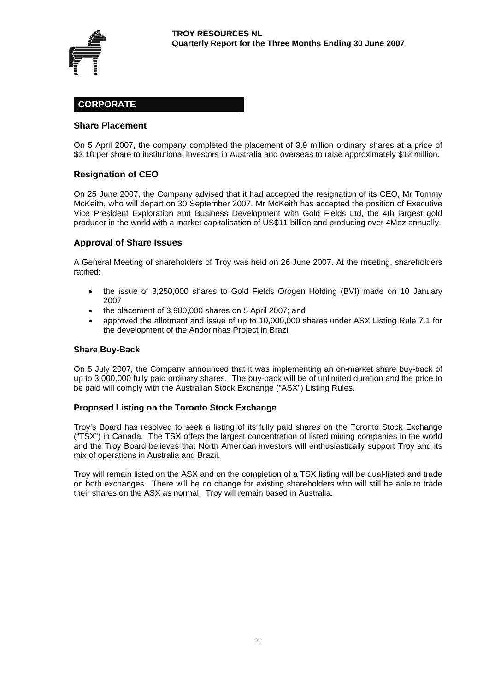

## **CORPORATE**

#### **Share Placement**

On 5 April 2007, the company completed the placement of 3.9 million ordinary shares at a price of \$3.10 per share to institutional investors in Australia and overseas to raise approximately \$12 million.

#### **Resignation of CEO**

On 25 June 2007, the Company advised that it had accepted the resignation of its CEO, Mr Tommy McKeith, who will depart on 30 September 2007. Mr McKeith has accepted the position of Executive Vice President Exploration and Business Development with Gold Fields Ltd, the 4th largest gold producer in the world with a market capitalisation of US\$11 billion and producing over 4Moz annually.

#### **Approval of Share Issues**

A General Meeting of shareholders of Troy was held on 26 June 2007. At the meeting, shareholders ratified:

- the issue of 3,250,000 shares to Gold Fields Orogen Holding (BVI) made on 10 January 2007
- the placement of 3,900,000 shares on 5 April 2007; and
- approved the allotment and issue of up to 10,000,000 shares under ASX Listing Rule 7.1 for the development of the Andorinhas Project in Brazil

#### **Share Buy-Back**

On 5 July 2007, the Company announced that it was implementing an on-market share buy-back of up to 3,000,000 fully paid ordinary shares. The buy-back will be of unlimited duration and the price to be paid will comply with the Australian Stock Exchange ("ASX") Listing Rules.

#### **Proposed Listing on the Toronto Stock Exchange**

Troy's Board has resolved to seek a listing of its fully paid shares on the Toronto Stock Exchange ("TSX") in Canada. The TSX offers the largest concentration of listed mining companies in the world and the Troy Board believes that North American investors will enthusiastically support Troy and its mix of operations in Australia and Brazil.

Troy will remain listed on the ASX and on the completion of a TSX listing will be dual-listed and trade on both exchanges. There will be no change for existing shareholders who will still be able to trade their shares on the ASX as normal. Troy will remain based in Australia.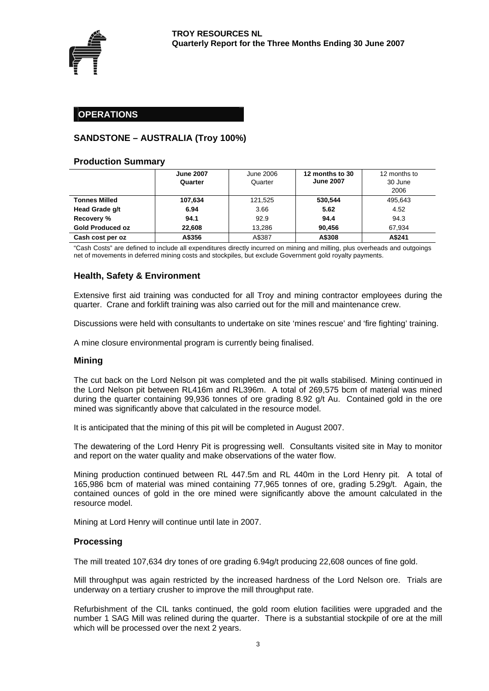

## **OPERATIONS**

## **SANDSTONE – AUSTRALIA (Troy 100%)**

#### **Production Summary**

|                         | <b>June 2007</b><br>Quarter | June 2006<br>Quarter | 12 months to 30<br><b>June 2007</b> | 12 months to<br>30 June<br>2006 |
|-------------------------|-----------------------------|----------------------|-------------------------------------|---------------------------------|
| <b>Tonnes Milled</b>    | 107,634                     | 121.525              | 530.544                             | 495.643                         |
| Head Grade g/t          | 6.94                        | 3.66                 | 5.62                                | 4.52                            |
| Recovery %              | 94.1                        | 92.9                 | 94.4                                | 94.3                            |
| <b>Gold Produced oz</b> | 22.608                      | 13.286               | 90.456                              | 67.934                          |
| Cash cost per oz        | A\$356                      | A\$387               | A\$308                              | A\$241                          |

"Cash Costs" are defined to include all expenditures directly incurred on mining and milling, plus overheads and outgoings net of movements in deferred mining costs and stockpiles, but exclude Government gold royalty payments.

## **Health, Safety & Environment**

Extensive first aid training was conducted for all Troy and mining contractor employees during the quarter. Crane and forklift training was also carried out for the mill and maintenance crew.

Discussions were held with consultants to undertake on site 'mines rescue' and 'fire fighting' training.

A mine closure environmental program is currently being finalised.

#### **Mining**

The cut back on the Lord Nelson pit was completed and the pit walls stabilised. Mining continued in the Lord Nelson pit between RL416m and RL396m. A total of 269,575 bcm of material was mined during the quarter containing 99,936 tonnes of ore grading 8.92 g/t Au. Contained gold in the ore mined was significantly above that calculated in the resource model.

It is anticipated that the mining of this pit will be completed in August 2007.

The dewatering of the Lord Henry Pit is progressing well. Consultants visited site in May to monitor and report on the water quality and make observations of the water flow.

Mining production continued between RL 447.5m and RL 440m in the Lord Henry pit. A total of 165,986 bcm of material was mined containing 77,965 tonnes of ore, grading 5.29g/t. Again, the contained ounces of gold in the ore mined were significantly above the amount calculated in the resource model.

Mining at Lord Henry will continue until late in 2007.

#### **Processing**

The mill treated 107,634 dry tones of ore grading 6.94g/t producing 22,608 ounces of fine gold.

Mill throughput was again restricted by the increased hardness of the Lord Nelson ore. Trials are underway on a tertiary crusher to improve the mill throughput rate.

Refurbishment of the CIL tanks continued, the gold room elution facilities were upgraded and the number 1 SAG Mill was relined during the quarter. There is a substantial stockpile of ore at the mill which will be processed over the next 2 years.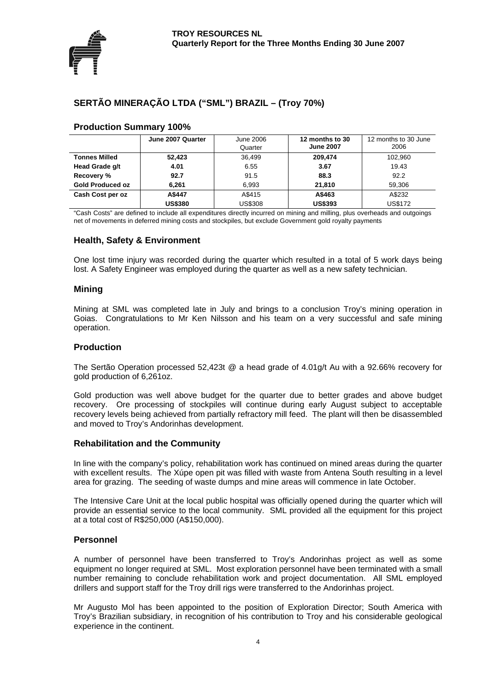

# **SERTÃO MINERAÇÃO LTDA ("SML") BRAZIL – (Troy 70%)**

|                         | June 2007 Quarter | 12 months to 30<br>June 2006 |                  | 12 months to 30 June |
|-------------------------|-------------------|------------------------------|------------------|----------------------|
|                         |                   | Quarter                      | <b>June 2007</b> | 2006                 |
| <b>Tonnes Milled</b>    | 52,423            | 36.499                       | 209.474          | 102,960              |
| Head Grade g/t          | 4.01              | 6.55                         | 3.67             | 19.43                |
| Recovery %              | 92.7              | 91.5                         | 88.3             | 92.2                 |
| <b>Gold Produced oz</b> | 6,261             | 6.993                        | 21.810           | 59.306               |
| Cash Cost per oz        | A\$447            | A\$415                       | A\$463           | A\$232               |
|                         | <b>US\$380</b>    | US\$308                      | <b>US\$393</b>   | <b>US\$172</b>       |

#### **Production Summary 100%**

"Cash Costs" are defined to include all expenditures directly incurred on mining and milling, plus overheads and outgoings net of movements in deferred mining costs and stockpiles, but exclude Government gold royalty payments

#### **Health, Safety & Environment**

One lost time injury was recorded during the quarter which resulted in a total of 5 work days being lost. A Safety Engineer was employed during the quarter as well as a new safety technician.

#### **Mining**

Mining at SML was completed late in July and brings to a conclusion Troy's mining operation in Goias. Congratulations to Mr Ken Nilsson and his team on a very successful and safe mining operation.

#### **Production**

The Sertão Operation processed 52,423t @ a head grade of 4.01g/t Au with a 92.66% recovery for gold production of 6,261oz.

Gold production was well above budget for the quarter due to better grades and above budget recovery. Ore processing of stockpiles will continue during early August subject to acceptable recovery levels being achieved from partially refractory mill feed. The plant will then be disassembled and moved to Troy's Andorinhas development.

#### **Rehabilitation and the Community**

In line with the company's policy, rehabilitation work has continued on mined areas during the quarter with excellent results. The Xúpe open pit was filled with waste from Antena South resulting in a level area for grazing. The seeding of waste dumps and mine areas will commence in late October.

The Intensive Care Unit at the local public hospital was officially opened during the quarter which will provide an essential service to the local community. SML provided all the equipment for this project at a total cost of R\$250,000 (A\$150,000).

#### **Personnel**

A number of personnel have been transferred to Troy's Andorinhas project as well as some equipment no longer required at SML. Most exploration personnel have been terminated with a small number remaining to conclude rehabilitation work and project documentation. All SML employed drillers and support staff for the Troy drill rigs were transferred to the Andorinhas project.

Mr Augusto Mol has been appointed to the position of Exploration Director; South America with Troy's Brazilian subsidiary, in recognition of his contribution to Troy and his considerable geological experience in the continent.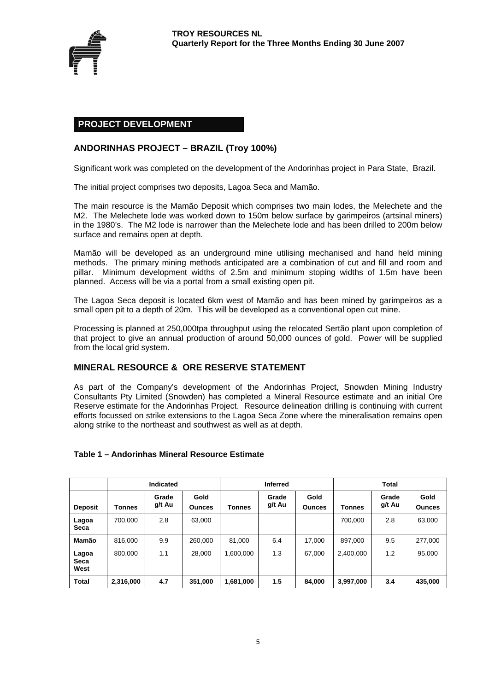

#### **PROJECT DEVELOPMENT**

#### **ANDORINHAS PROJECT – BRAZIL (Troy 100%)**

Significant work was completed on the development of the Andorinhas project in Para State, Brazil.

The initial project comprises two deposits, Lagoa Seca and Mamão.

The main resource is the Mamão Deposit which comprises two main lodes, the Melechete and the M2. The Melechete lode was worked down to 150m below surface by garimpeiros (artsinal miners) in the 1980's. The M2 lode is narrower than the Melechete lode and has been drilled to 200m below surface and remains open at depth.

Mamão will be developed as an underground mine utilising mechanised and hand held mining methods. The primary mining methods anticipated are a combination of cut and fill and room and pillar. Minimum development widths of 2.5m and minimum stoping widths of 1.5m have been planned. Access will be via a portal from a small existing open pit.

The Lagoa Seca deposit is located 6km west of Mamão and has been mined by garimpeiros as a small open pit to a depth of 20m. This will be developed as a conventional open cut mine.

Processing is planned at 250,000tpa throughput using the relocated Sertão plant upon completion of that project to give an annual production of around 50,000 ounces of gold. Power will be supplied from the local grid system.

#### **MINERAL RESOURCE & ORE RESERVE STATEMENT**

As part of the Company's development of the Andorinhas Project, Snowden Mining Industry Consultants Pty Limited (Snowden) has completed a Mineral Resource estimate and an initial Ore Reserve estimate for the Andorinhas Project. Resource delineation drilling is continuing with current efforts focussed on strike extensions to the Lagoa Seca Zone where the mineralisation remains open along strike to the northeast and southwest as well as at depth.

#### **Table 1 – Andorinhas Mineral Resource Estimate**

|                       | <b>Indicated</b> |                 |                       | <b>Inferred</b> |                 |                       | Total         |                 |                       |
|-----------------------|------------------|-----------------|-----------------------|-----------------|-----------------|-----------------------|---------------|-----------------|-----------------------|
| <b>Deposit</b>        | <b>Tonnes</b>    | Grade<br>g/t Au | Gold<br><b>Ounces</b> | <b>Tonnes</b>   | Grade<br>g/t Au | Gold<br><b>Ounces</b> | <b>Tonnes</b> | Grade<br>g/t Au | Gold<br><b>Ounces</b> |
| Lagoa<br>Seca         | 700.000          | 2.8             | 63.000                |                 |                 |                       | 700.000       | 2.8             | 63,000                |
| Mamão                 | 816,000          | 9.9             | 260,000               | 81,000          | 6.4             | 17.000                | 897.000       | 9.5             | 277,000               |
| Lagoa<br>Seca<br>West | 800,000          | 1.1             | 28.000                | 1,600,000       | 1.3             | 67,000                | 2,400,000     | 1.2             | 95,000                |
| <b>Total</b>          | 2,316,000        | 4.7             | 351,000               | 1,681,000       | 1.5             | 84,000                | 3,997,000     | 3.4             | 435,000               |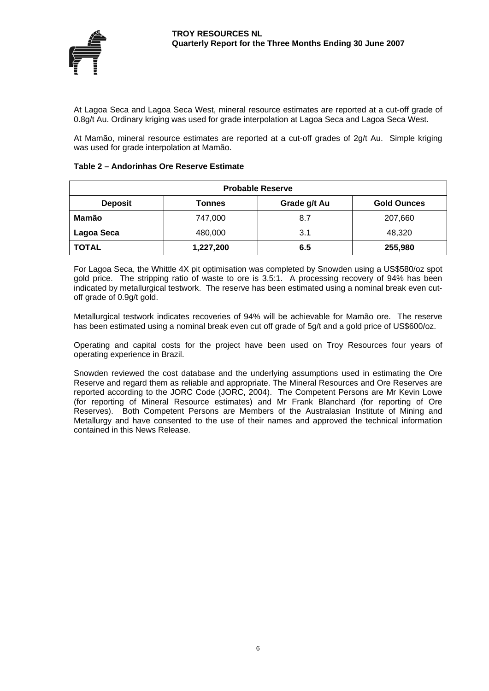

At Lagoa Seca and Lagoa Seca West, mineral resource estimates are reported at a cut-off grade of 0.8g/t Au. Ordinary kriging was used for grade interpolation at Lagoa Seca and Lagoa Seca West.

At Mamão, mineral resource estimates are reported at a cut-off grades of 2g/t Au. Simple kriging was used for grade interpolation at Mamão.

#### **Table 2 – Andorinhas Ore Reserve Estimate**

| <b>Probable Reserve</b>                                        |           |     |         |  |  |  |  |
|----------------------------------------------------------------|-----------|-----|---------|--|--|--|--|
| Grade g/t Au<br><b>Deposit</b><br><b>Gold Ounces</b><br>Tonnes |           |     |         |  |  |  |  |
| Mamão                                                          | 747,000   | 8.7 | 207,660 |  |  |  |  |
| Lagoa Seca                                                     | 480,000   | 3.1 | 48,320  |  |  |  |  |
| <b>TOTAL</b>                                                   | 1,227,200 | 6.5 | 255,980 |  |  |  |  |

For Lagoa Seca, the Whittle 4X pit optimisation was completed by Snowden using a US\$580/oz spot gold price. The stripping ratio of waste to ore is 3.5:1. A processing recovery of 94% has been indicated by metallurgical testwork. The reserve has been estimated using a nominal break even cutoff grade of 0.9g/t gold.

Metallurgical testwork indicates recoveries of 94% will be achievable for Mamão ore. The reserve has been estimated using a nominal break even cut off grade of 5g/t and a gold price of US\$600/oz.

Operating and capital costs for the project have been used on Troy Resources four years of operating experience in Brazil.

Snowden reviewed the cost database and the underlying assumptions used in estimating the Ore Reserve and regard them as reliable and appropriate. The Mineral Resources and Ore Reserves are reported according to the JORC Code (JORC, 2004). The Competent Persons are Mr Kevin Lowe (for reporting of Mineral Resource estimates) and Mr Frank Blanchard (for reporting of Ore Reserves). Both Competent Persons are Members of the Australasian Institute of Mining and Metallurgy and have consented to the use of their names and approved the technical information contained in this News Release.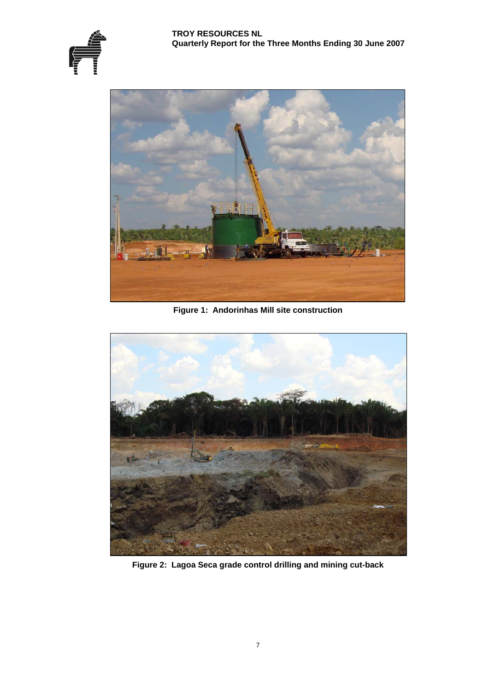





**Figure 1: Andorinhas Mill site construction** 



**Figure 2: Lagoa Seca grade control drilling and mining cut-back**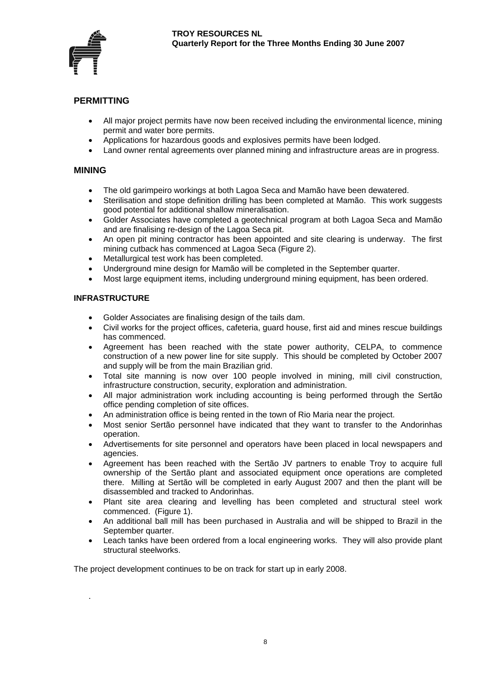

## **PERMITTING**

- All major project permits have now been received including the environmental licence, mining permit and water bore permits.
- Applications for hazardous goods and explosives permits have been lodged.
- Land owner rental agreements over planned mining and infrastructure areas are in progress.

#### **MINING**

- The old garimpeiro workings at both Lagoa Seca and Mamão have been dewatered.
- Sterilisation and stope definition drilling has been completed at Mamão. This work suggests good potential for additional shallow mineralisation.
- Golder Associates have completed a geotechnical program at both Lagoa Seca and Mamão and are finalising re-design of the Lagoa Seca pit.
- An open pit mining contractor has been appointed and site clearing is underway. The first mining cutback has commenced at Lagoa Seca (Figure 2).
- Metallurgical test work has been completed.
- Underground mine design for Mamão will be completed in the September quarter.
- Most large equipment items, including underground mining equipment, has been ordered.

#### **INFRASTRUCTURE**

.

- Golder Associates are finalising design of the tails dam.
- Civil works for the project offices, cafeteria, guard house, first aid and mines rescue buildings has commenced.
- Agreement has been reached with the state power authority, CELPA, to commence construction of a new power line for site supply. This should be completed by October 2007 and supply will be from the main Brazilian grid.
- Total site manning is now over 100 people involved in mining, mill civil construction, infrastructure construction, security, exploration and administration.
- All major administration work including accounting is being performed through the Sertão office pending completion of site offices.
- An administration office is being rented in the town of Rio Maria near the project.
- Most senior Sertão personnel have indicated that they want to transfer to the Andorinhas operation.
- Advertisements for site personnel and operators have been placed in local newspapers and agencies.
- Agreement has been reached with the Sertão JV partners to enable Troy to acquire full ownership of the Sertão plant and associated equipment once operations are completed there. Milling at Sertão will be completed in early August 2007 and then the plant will be disassembled and tracked to Andorinhas.
- Plant site area clearing and levelling has been completed and structural steel work commenced. (Figure 1).
- An additional ball mill has been purchased in Australia and will be shipped to Brazil in the September quarter.
- Leach tanks have been ordered from a local engineering works. They will also provide plant structural steelworks.

The project development continues to be on track for start up in early 2008.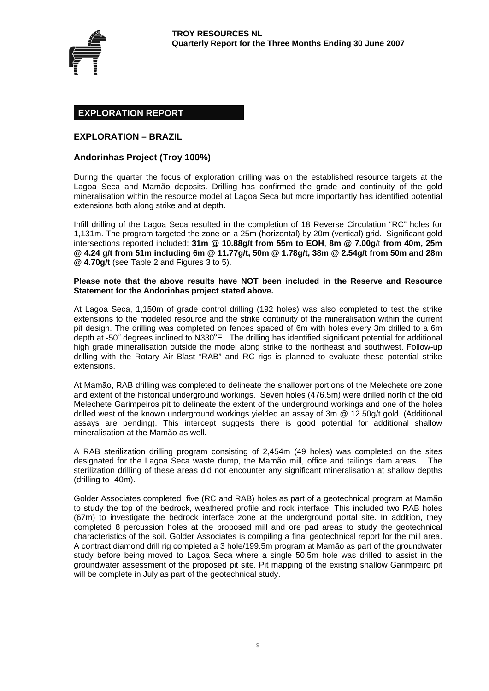

#### **EXPLORATION REPORT**

#### **EXPLORATION – BRAZIL**

#### **Andorinhas Project (Troy 100%)**

During the quarter the focus of exploration drilling was on the established resource targets at the Lagoa Seca and Mamão deposits. Drilling has confirmed the grade and continuity of the gold mineralisation within the resource model at Lagoa Seca but more importantly has identified potential extensions both along strike and at depth.

Infill drilling of the Lagoa Seca resulted in the completion of 18 Reverse Circulation "RC" holes for 1,131m. The program targeted the zone on a 25m (horizontal) by 20m (vertical) grid. Significant gold intersections reported included: **31m @ 10.88g/t from 55m to EOH**, **8m @ 7.00g/**t **from 40m, 25m @ 4.24 g/t from 51m including 6m @ 11.77g/t, 50m @ 1.78g/t, 38m @ 2.54g/t from 50m and 28m @ 4.70g/t** (see Table 2 and Figures 3 to 5).

#### **Please note that the above results have NOT been included in the Reserve and Resource Statement for the Andorinhas project stated above.**

At Lagoa Seca, 1,150m of grade control drilling (192 holes) was also completed to test the strike extensions to the modeled resource and the strike continuity of the mineralisation within the current pit design. The drilling was completed on fences spaced of 6m with holes every 3m drilled to a 6m depth at -50° degrees inclined to N330°E. The drilling has identified significant potential for additional high grade mineralisation outside the model along strike to the northeast and southwest. Follow-up drilling with the Rotary Air Blast "RAB" and RC rigs is planned to evaluate these potential strike extensions.

At Mamão, RAB drilling was completed to delineate the shallower portions of the Melechete ore zone and extent of the historical underground workings. Seven holes (476.5m) were drilled north of the old Melechete Garimpeiros pit to delineate the extent of the underground workings and one of the holes drilled west of the known underground workings yielded an assay of 3m @ 12.50g/t gold. (Additional assays are pending). This intercept suggests there is good potential for additional shallow mineralisation at the Mamão as well.

A RAB sterilization drilling program consisting of 2,454m (49 holes) was completed on the sites designated for the Lagoa Seca waste dump, the Mamão mill, office and tailings dam areas. The sterilization drilling of these areas did not encounter any significant mineralisation at shallow depths (drilling to -40m).

Golder Associates completed five (RC and RAB) holes as part of a geotechnical program at Mamão to study the top of the bedrock, weathered profile and rock interface. This included two RAB holes (67m) to investigate the bedrock interface zone at the underground portal site. In addition, they completed 8 percussion holes at the proposed mill and ore pad areas to study the geotechnical characteristics of the soil. Golder Associates is compiling a final geotechnical report for the mill area. A contract diamond drill rig completed a 3 hole/199.5m program at Mamão as part of the groundwater study before being moved to Lagoa Seca where a single 50.5m hole was drilled to assist in the groundwater assessment of the proposed pit site. Pit mapping of the existing shallow Garimpeiro pit will be complete in July as part of the geotechnical study.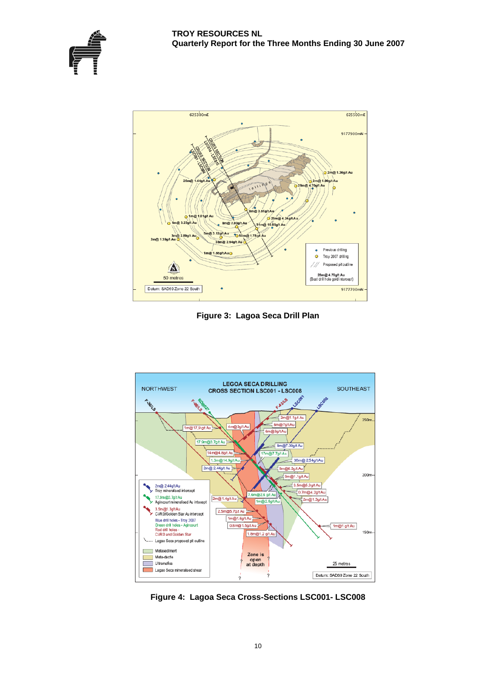



**Figure 3: Lagoa Seca Drill Plan** 



**Figure 4: Lagoa Seca Cross-Sections LSC001- LSC008**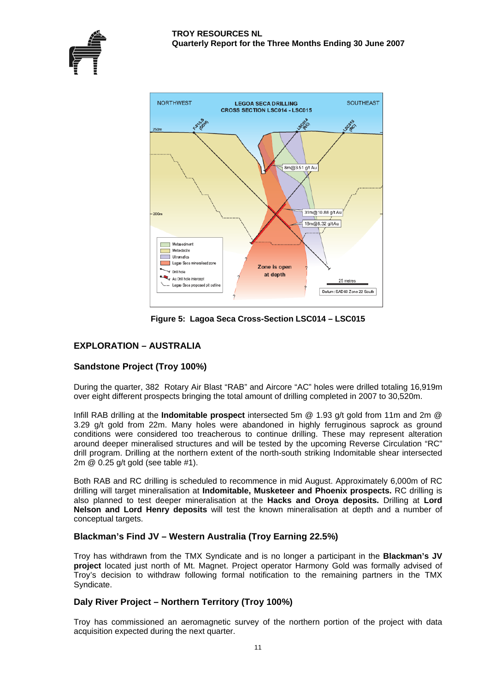



**Figure 5: Lagoa Seca Cross-Section LSC014 – LSC015** 

# **EXPLORATION – AUSTRALIA**

## **Sandstone Project (Troy 100%)**

During the quarter, 382 Rotary Air Blast "RAB" and Aircore "AC" holes were drilled totaling 16,919m over eight different prospects bringing the total amount of drilling completed in 2007 to 30,520m.

Infill RAB drilling at the **Indomitable prospect** intersected 5m @ 1.93 g/t gold from 11m and 2m @ 3.29 g/t gold from 22m. Many holes were abandoned in highly ferruginous saprock as ground conditions were considered too treacherous to continue drilling. These may represent alteration around deeper mineralised structures and will be tested by the upcoming Reverse Circulation "RC" drill program. Drilling at the northern extent of the north-south striking Indomitable shear intersected 2m @ 0.25 g/t gold (see table #1).

Both RAB and RC drilling is scheduled to recommence in mid August. Approximately 6,000m of RC drilling will target mineralisation at **Indomitable, Musketeer and Phoenix prospects.** RC drilling is also planned to test deeper mineralisation at the **Hacks and Oroya deposits.** Drilling at **Lord Nelson and Lord Henry deposits** will test the known mineralisation at depth and a number of conceptual targets.

## **Blackman's Find JV – Western Australia (Troy Earning 22.5%)**

Troy has withdrawn from the TMX Syndicate and is no longer a participant in the **Blackman's JV project** located just north of Mt. Magnet. Project operator Harmony Gold was formally advised of Troy's decision to withdraw following formal notification to the remaining partners in the TMX Syndicate.

## **Daly River Project – Northern Territory (Troy 100%)**

Troy has commissioned an aeromagnetic survey of the northern portion of the project with data acquisition expected during the next quarter.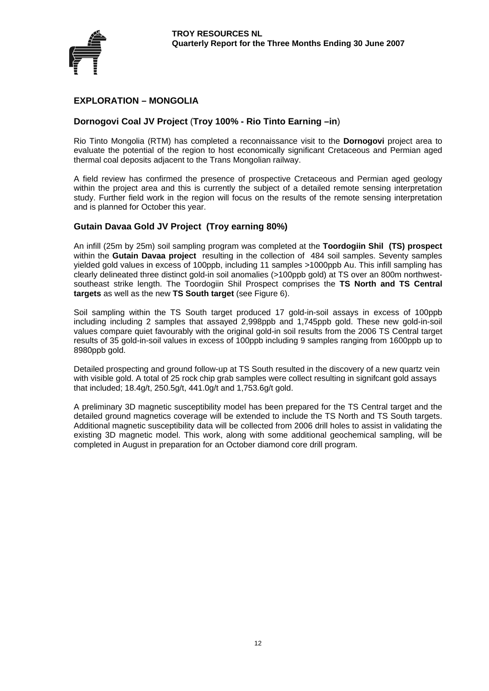

## **EXPLORATION – MONGOLIA**

#### **Dornogovi Coal JV Project** (**Troy 100% - Rio Tinto Earning –in**)

Rio Tinto Mongolia (RTM) has completed a reconnaissance visit to the **Dornogovi** project area to evaluate the potential of the region to host economically significant Cretaceous and Permian aged thermal coal deposits adjacent to the Trans Mongolian railway.

A field review has confirmed the presence of prospective Cretaceous and Permian aged geology within the project area and this is currently the subject of a detailed remote sensing interpretation study. Further field work in the region will focus on the results of the remote sensing interpretation and is planned for October this year.

#### **Gutain Davaa Gold JV Project (Troy earning 80%)**

An infill (25m by 25m) soil sampling program was completed at the **Toordogiin Shil (TS) prospect**  within the **Gutain Davaa project** resulting in the collection of 484 soil samples. Seventy samples yielded gold values in excess of 100ppb, including 11 samples >1000ppb Au. This infill sampling has clearly delineated three distinct gold-in soil anomalies (>100ppb gold) at TS over an 800m northwestsoutheast strike length. The Toordogiin Shil Prospect comprises the **TS North and TS Central targets** as well as the new **TS South target** (see Figure 6).

Soil sampling within the TS South target produced 17 gold-in-soil assays in excess of 100ppb including including 2 samples that assayed 2,998ppb and 1,745ppb gold. These new gold-in-soil values compare quiet favourably with the original gold-in soil results from the 2006 TS Central target results of 35 gold-in-soil values in excess of 100ppb including 9 samples ranging from 1600ppb up to 8980ppb gold.

Detailed prospecting and ground follow-up at TS South resulted in the discovery of a new quartz vein with visible gold. A total of 25 rock chip grab samples were collect resulting in signifcant gold assays that included; 18.4g/t, 250.5g/t, 441.0g/t and 1,753.6g/t gold.

A preliminary 3D magnetic susceptibility model has been prepared for the TS Central target and the detailed ground magnetics coverage will be extended to include the TS North and TS South targets. Additional magnetic susceptibility data will be collected from 2006 drill holes to assist in validating the existing 3D magnetic model. This work, along with some additional geochemical sampling, will be completed in August in preparation for an October diamond core drill program.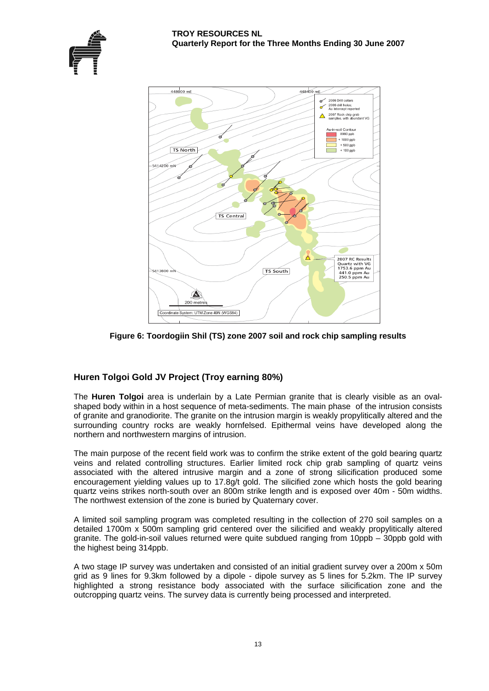



**Figure 6: Toordogiin Shil (TS) zone 2007 soil and rock chip sampling results**

# **Huren Tolgoi Gold JV Project (Troy earning 80%)**

The **Huren Tolgoi** area is underlain by a Late Permian granite that is clearly visible as an ovalshaped body within in a host sequence of meta-sediments. The main phase of the intrusion consists of granite and granodiorite. The granite on the intrusion margin is weakly propylitically altered and the surrounding country rocks are weakly hornfelsed. Epithermal veins have developed along the northern and northwestern margins of intrusion.

The main purpose of the recent field work was to confirm the strike extent of the gold bearing quartz veins and related controlling structures. Earlier limited rock chip grab sampling of quartz veins associated with the altered intrusive margin and a zone of strong silicification produced some encouragement yielding values up to 17.8g/t gold. The silicified zone which hosts the gold bearing quartz veins strikes north-south over an 800m strike length and is exposed over 40m - 50m widths. The northwest extension of the zone is buried by Quaternary cover.

A limited soil sampling program was completed resulting in the collection of 270 soil samples on a detailed 1700m x 500m sampling grid centered over the silicified and weakly propylitically altered granite. The gold-in-soil values returned were quite subdued ranging from 10ppb – 30ppb gold with the highest being 314ppb.

A two stage IP survey was undertaken and consisted of an initial gradient survey over a 200m x 50m grid as 9 lines for 9.3km followed by a dipole - dipole survey as 5 lines for 5.2km. The IP survey highlighted a strong resistance body associated with the surface silicification zone and the outcropping quartz veins. The survey data is currently being processed and interpreted.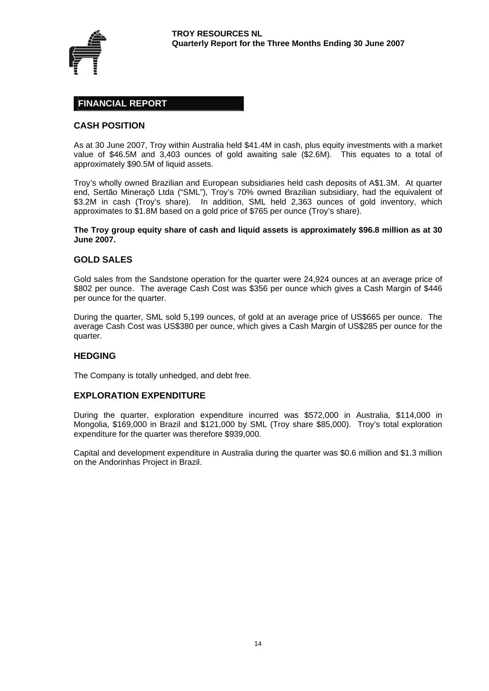

## **FINANCIAL REPORT**

#### **CASH POSITION**

As at 30 June 2007, Troy within Australia held \$41.4M in cash, plus equity investments with a market value of \$46.5M and 3,403 ounces of gold awaiting sale (\$2.6M). This equates to a total of approximately \$90.5M of liquid assets.

Troy's wholly owned Brazilian and European subsidiaries held cash deposits of A\$1.3M. At quarter end, Sertão Mineraçõ Ltda ("SML"), Troy's 70% owned Brazilian subsidiary, had the equivalent of \$3.2M in cash (Troy's share). In addition, SML held 2,363 ounces of gold inventory, which approximates to \$1.8M based on a gold price of \$765 per ounce (Troy's share).

**The Troy group equity share of cash and liquid assets is approximately \$96.8 million as at 30 June 2007.** 

#### **GOLD SALES**

Gold sales from the Sandstone operation for the quarter were 24,924 ounces at an average price of \$802 per ounce. The average Cash Cost was \$356 per ounce which gives a Cash Margin of \$446 per ounce for the quarter.

During the quarter, SML sold 5,199 ounces, of gold at an average price of US\$665 per ounce. The average Cash Cost was US\$380 per ounce, which gives a Cash Margin of US\$285 per ounce for the quarter.

#### **HEDGING**

The Company is totally unhedged, and debt free.

#### **EXPLORATION EXPENDITURE**

During the quarter, exploration expenditure incurred was \$572,000 in Australia, \$114,000 in Mongolia, \$169,000 in Brazil and \$121,000 by SML (Troy share \$85,000). Troy's total exploration expenditure for the quarter was therefore \$939,000.

Capital and development expenditure in Australia during the quarter was \$0.6 million and \$1.3 million on the Andorinhas Project in Brazil.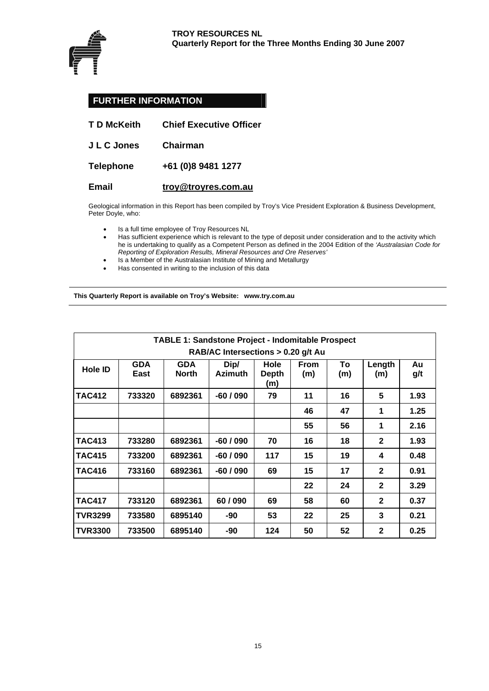

# **FURTHER INFORMATION**

| T D McKeith | <b>Chief Executive Officer</b> |
|-------------|--------------------------------|
| J L C Jones | <b>Chairman</b>                |
| Telephone   | +61 (0)8 9481 1277             |
| Email       | troy@troyres.com.au            |

Geological information in this Report has been compiled by Troy's Vice President Exploration & Business Development, Peter Doyle, who:

- Is a full time employee of Troy Resources NL
- Has sufficient experience which is relevant to the type of deposit under consideration and to the activity which he is undertaking to qualify as a Competent Person as defined in the 2004 Edition of the *'Australasian Code for Reporting of Exploration Results, Mineral Resources and Ore Reserves'*
- Is a Member of the Australasian Institute of Mining and Metallurgy
- Has consented in writing to the inclusion of this data

**This Quarterly Report is available on Troy's Website: www.try.com.au** 

| <b>TABLE 1: Sandstone Project - Indomitable Prospect</b><br>RAB/AC Intersections > 0.20 g/t Au |                                                                                                                                                                            |         |           |     |    |    |              |      |  |
|------------------------------------------------------------------------------------------------|----------------------------------------------------------------------------------------------------------------------------------------------------------------------------|---------|-----------|-----|----|----|--------------|------|--|
| Hole ID                                                                                        | <b>GDA</b><br><b>GDA</b><br>Dip/<br>Hole<br><b>From</b><br>To<br>Length<br>Au<br><b>Azimuth</b><br><b>North</b><br>East<br><b>Depth</b><br>(m)<br>(m)<br>(m)<br>g/t<br>(m) |         |           |     |    |    |              |      |  |
| <b>TAC412</b>                                                                                  | 733320                                                                                                                                                                     | 6892361 | $-60/090$ | 79  | 11 | 16 | 5            | 1.93 |  |
|                                                                                                |                                                                                                                                                                            |         |           |     | 46 | 47 | 1            | 1.25 |  |
|                                                                                                |                                                                                                                                                                            |         |           |     | 55 | 56 | 1            | 2.16 |  |
| <b>TAC413</b>                                                                                  | 733280                                                                                                                                                                     | 6892361 | $-60/090$ | 70  | 16 | 18 | $\mathbf{2}$ | 1.93 |  |
| <b>TAC415</b>                                                                                  | 733200                                                                                                                                                                     | 6892361 | $-60/090$ | 117 | 15 | 19 | 4            | 0.48 |  |
| <b>TAC416</b>                                                                                  | 733160                                                                                                                                                                     | 6892361 | $-60/090$ | 69  | 15 | 17 | $\mathbf{2}$ | 0.91 |  |
|                                                                                                |                                                                                                                                                                            |         |           |     | 22 | 24 | $\mathbf{2}$ | 3.29 |  |
| <b>TAC417</b>                                                                                  | 733120                                                                                                                                                                     | 6892361 | 60/090    | 69  | 58 | 60 | $\mathbf{2}$ | 0.37 |  |
| <b>TVR3299</b>                                                                                 | 733580                                                                                                                                                                     | 6895140 | -90       | 53  | 22 | 25 | 3            | 0.21 |  |
| <b>TVR3300</b>                                                                                 | 733500                                                                                                                                                                     | 6895140 | -90       | 124 | 50 | 52 | $\mathbf{2}$ | 0.25 |  |